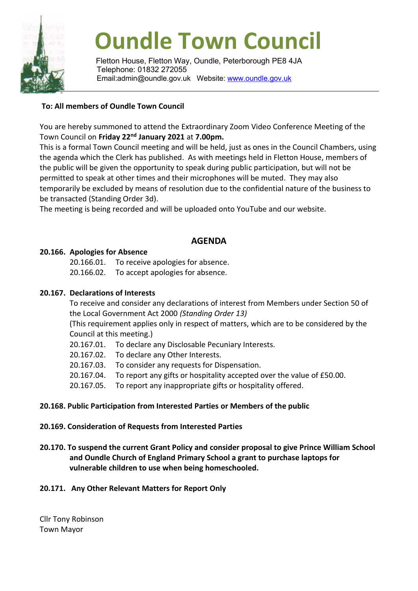

# **Oundle Town Council**

Fletton House, Fletton Way, Oundle, Peterborough PE8 4JA Telephone: 01832 272055 Email:admin@oundle.gov.uk Website: [www.oundle.gov.uk](http://www.oundle.gov.uk/)

## **To: All members of Oundle Town Council**

You are hereby summoned to attend the Extraordinary Zoom Video Conference Meeting of the Town Council on **Friday 22nd January 2021** at **7.00pm.**

This is a formal Town Council meeting and will be held, just as ones in the Council Chambers, using the agenda which the Clerk has published. As with meetings held in Fletton House, members of the public will be given the opportunity to speak during public participation, but will not be permitted to speak at other times and their microphones will be muted. They may also temporarily be excluded by means of resolution due to the confidential nature of the business to be transacted (Standing Order 3d).

The meeting is being recorded and will be uploaded onto YouTube and our website.

# **AGENDA**

## **20.166. Apologies for Absence**

20.166.01. To receive apologies for absence.

20.166.02. To accept apologies for absence.

#### **20.167. Declarations of Interests**

To receive and consider any declarations of interest from Members under Section 50 of the Local Government Act 2000 *(Standing Order 13)*

(This requirement applies only in respect of matters, which are to be considered by the Council at this meeting.)

20.167.01. To declare any Disclosable Pecuniary Interests.

20.167.02. To declare any Other Interests.

20.167.03. To consider any requests for Dispensation.

20.167.04. To report any gifts or hospitality accepted over the value of £50.00.

20.167.05. To report any inappropriate gifts or hospitality offered.

#### **20.168. Public Participation from Interested Parties or Members of the public**

#### **20.169. Consideration of Requests from Interested Parties**

**20.170. To suspend the current Grant Policy and consider proposal to give Prince William School and Oundle Church of England Primary School a grant to purchase laptops for vulnerable children to use when being homeschooled.**

## **20.171. Any Other Relevant Matters for Report Only**

Cllr Tony Robinson Town Mayor